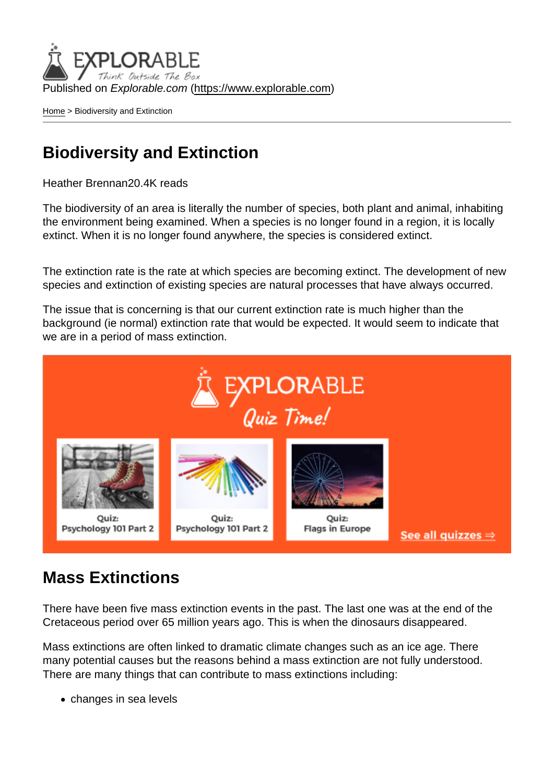Published on Explorable.com (<https://www.explorable.com>)

[Home](https://www.explorable.com/) > Biodiversity and Extinction

## Biodiversity and Extinction

Heather Brennan20.4K reads

The biodiversity of an area is literally the number of species, both plant and animal, inhabiting the environment being examined. When a species is no longer found in a region, it is locally extinct. When it is no longer found anywhere, the species is considered extinct.

The extinction rate is the rate at which species are becoming extinct. The development of new species and extinction of existing species are natural processes that have always occurred.

The issue that is concerning is that our current extinction rate is much higher than the background (ie normal) extinction rate that would be expected. It would seem to indicate that we are in a period of mass extinction.

## Mass Extinctions

There have been five mass extinction events in the past. The last one was at the end of the Cretaceous period over 65 million years ago. This is when the dinosaurs disappeared.

Mass extinctions are often linked to dramatic climate changes such as an ice age. There many potential causes but the reasons behind a mass extinction are not fully understood. There are many things that can contribute to mass extinctions including:

changes in sea levels